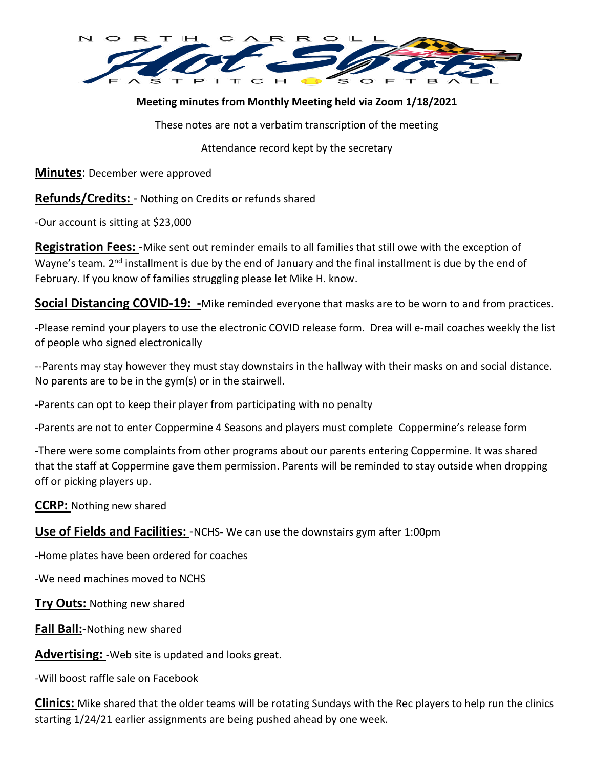

# **Meeting minutes from Monthly Meeting held via Zoom 1/18/2021**

These notes are not a verbatim transcription of the meeting

Attendance record kept by the secretary

**Minutes**: December were approved

**Refunds/Credits:** - Nothing on Credits or refunds shared

-Our account is sitting at \$23,000

**Registration Fees:** -Mike sent out reminder emails to all families that still owe with the exception of Wayne's team. 2<sup>nd</sup> installment is due by the end of January and the final installment is due by the end of February. If you know of families struggling please let Mike H. know.

**Social Distancing COVID-19: -**Mike reminded everyone that masks are to be worn to and from practices.

-Please remind your players to use the electronic COVID release form. Drea will e-mail coaches weekly the list of people who signed electronically

--Parents may stay however they must stay downstairs in the hallway with their masks on and social distance. No parents are to be in the gym(s) or in the stairwell.

-Parents can opt to keep their player from participating with no penalty

-Parents are not to enter Coppermine 4 Seasons and players must complete Coppermine's release form

-There were some complaints from other programs about our parents entering Coppermine. It was shared that the staff at Coppermine gave them permission. Parents will be reminded to stay outside when dropping off or picking players up.

## **CCRP:** Nothing new shared

**Use of Fields and Facilities:** -NCHS- We can use the downstairs gym after 1:00pm

-Home plates have been ordered for coaches

-We need machines moved to NCHS

**Try Outs:** Nothing new shared

**Fall Ball:**-Nothing new shared

**Advertising:** -Web site is updated and looks great.

-Will boost raffle sale on Facebook

**Clinics:** Mike shared that the older teams will be rotating Sundays with the Rec players to help run the clinics starting 1/24/21 earlier assignments are being pushed ahead by one week.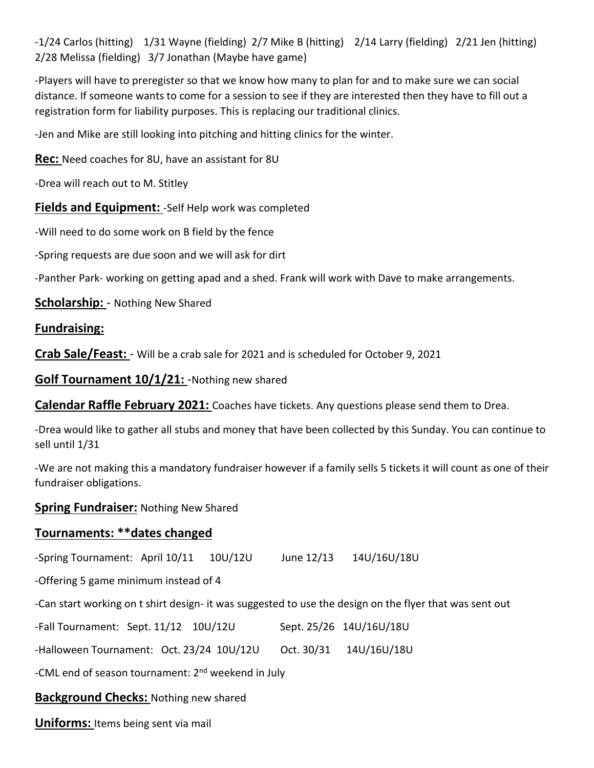-1/24 Carlos (hitting) 1/31 Wayne (fielding) 2/7 Mike B (hitting) 2/14 Larry (fielding) 2/21 Jen (hitting) 2/28 Melissa (fielding) 3/7 Jonathan (Maybe have game)

-Players will have to preregister so that we know how many to plan for and to make sure we can social distance. If someone wants to come for a session to see if they are interested then they have to fill out a registration form for liability purposes. This is replacing our traditional clinics.

-Jen and Mike are still looking into pitching and hitting clinics for the winter.

**Rec:** Need coaches for 8U, have an assistant for 8U

-Drea will reach out to M. Stitley

**Fields and Equipment:** -Self Help work was completed

-Will need to do some work on B field by the fence

-Spring requests are due soon and we will ask for dirt

-Panther Park- working on getting apad and a shed. Frank will work with Dave to make arrangements.

**Scholarship:** - Nothing New Shared

### **Fundraising:**

**Crab Sale/Feast:** - Will be a crab sale for 2021 and is scheduled for October 9, 2021

**Golf Tournament 10/1/21:** -Nothing new shared

**Calendar Raffle February 2021:** Coaches have tickets. Any questions please send them to Drea.

-Drea would like to gather all stubs and money that have been collected by this Sunday. You can continue to sell until 1/31

-We are not making this a mandatory fundraiser however if a family sells 5 tickets it will count as one of their fundraiser obligations.

#### **Spring Fundraiser:** Nothing New Shared

## **Tournaments: \*\*dates changed**

-Spring Tournament: April 10/11 10U/12U June 12/13 14U/16U/18U

-Offering 5 game minimum instead of 4

-Can start working on t shirt design- it was suggested to use the design on the flyer that was sent out

| -Fall Tournament: Sept. 11/12 10U/12U |  |  |  | Sept. 25/26 14U/16U/18U |
|---------------------------------------|--|--|--|-------------------------|
|---------------------------------------|--|--|--|-------------------------|

-Halloween Tournament: Oct. 23/24 10U/12U Oct. 30/31 14U/16U/18U

-CML end of season tournament: 2<sup>nd</sup> weekend in July

**Background Checks:** Nothing new shared

**Uniforms:** Items being sent via mail